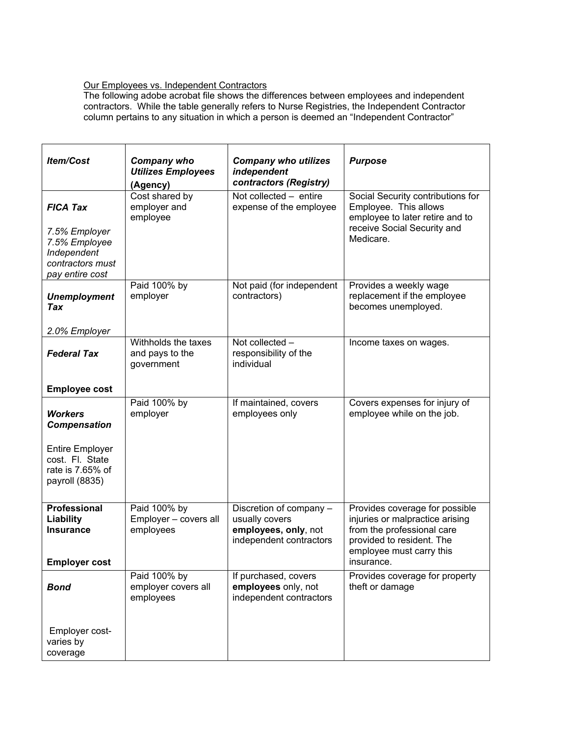## Our Employees vs. Independent Contractors

The following adobe acrobat file shows the differences between employees and independent contractors. While the table generally refers to Nurse Registries, the Independent Contractor column pertains to any situation in which a person is deemed an "Independent Contractor"

| Item/Cost                                                                            | <b>Company who</b><br><b>Utilizes Employees</b><br>(Agency) | <b>Company who utilizes</b><br>independent<br>contractors (Registry)                         | <b>Purpose</b>                                                                                                                                                         |
|--------------------------------------------------------------------------------------|-------------------------------------------------------------|----------------------------------------------------------------------------------------------|------------------------------------------------------------------------------------------------------------------------------------------------------------------------|
| <b>FICA Tax</b>                                                                      | Cost shared by<br>employer and<br>employee                  | Not collected - entire<br>expense of the employee                                            | Social Security contributions for<br>Employee. This allows<br>employee to later retire and to                                                                          |
| 7.5% Employer<br>7.5% Employee<br>Independent<br>contractors must<br>pay entire cost |                                                             |                                                                                              | receive Social Security and<br>Medicare.                                                                                                                               |
| <b>Unemployment</b><br>Tax                                                           | Paid 100% by<br>employer                                    | Not paid (for independent<br>contractors)                                                    | Provides a weekly wage<br>replacement if the employee<br>becomes unemployed.                                                                                           |
| 2.0% Employer                                                                        |                                                             |                                                                                              |                                                                                                                                                                        |
| <b>Federal Tax</b>                                                                   | Withholds the taxes<br>and pays to the<br>government        | Not collected -<br>responsibility of the<br>individual                                       | Income taxes on wages.                                                                                                                                                 |
| <b>Employee cost</b>                                                                 |                                                             |                                                                                              |                                                                                                                                                                        |
| <b>Workers</b><br><b>Compensation</b>                                                | Paid 100% by<br>employer                                    | If maintained, covers<br>employees only                                                      | Covers expenses for injury of<br>employee while on the job.                                                                                                            |
| <b>Entire Employer</b><br>cost. Fl. State<br>rate is 7.65% of<br>payroll (8835)      |                                                             |                                                                                              |                                                                                                                                                                        |
| <b>Professional</b><br>Liability<br><b>Insurance</b><br><b>Employer cost</b>         | Paid 100% by<br>Employer - covers all<br>employees          | Discretion of company -<br>usually covers<br>employees, only, not<br>independent contractors | Provides coverage for possible<br>injuries or malpractice arising<br>from the professional care<br>provided to resident. The<br>employee must carry this<br>insurance. |
|                                                                                      | Paid 100% by                                                | If purchased, covers                                                                         | Provides coverage for property                                                                                                                                         |
| <b>Bond</b>                                                                          | employer covers all<br>employees                            | employees only, not<br>independent contractors                                               | theft or damage                                                                                                                                                        |
| Employer cost-<br>varies by<br>coverage                                              |                                                             |                                                                                              |                                                                                                                                                                        |